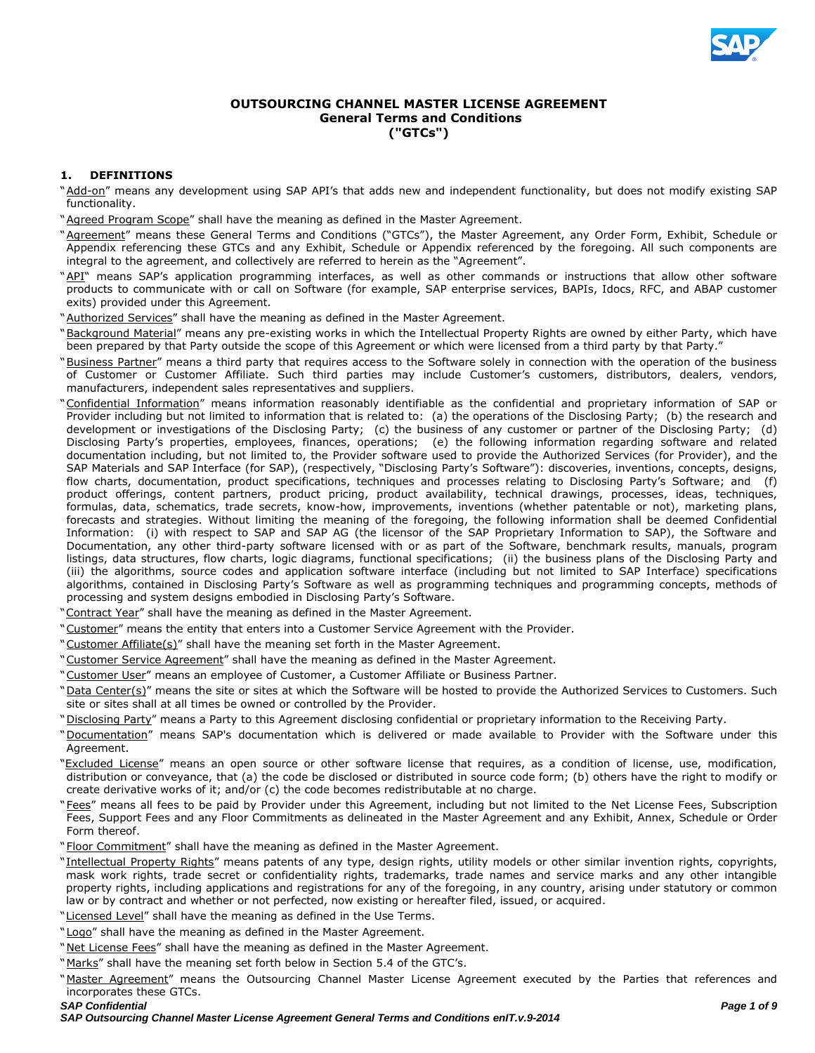

# **OUTSOURCING CHANNEL MASTER LICENSE AGREEMENT General Terms and Conditions ("GTCs")**

# **1. DEFINITIONS**

- "Add-on" means any development using SAP API's that adds new and independent functionality, but does not modify existing SAP functionality.
- "Agreed Program Scope" shall have the meaning as defined in the Master Agreement.
- "Agreement" means these General Terms and Conditions ("GTCs"), the Master Agreement, any Order Form, Exhibit, Schedule or Appendix referencing these GTCs and any Exhibit, Schedule or Appendix referenced by the foregoing. All such components are integral to the agreement, and collectively are referred to herein as the "Agreement".
- "API" means SAP's application programming interfaces, as well as other commands or instructions that allow other software products to communicate with or call on Software (for example, SAP enterprise services, BAPIs, Idocs, RFC, and ABAP customer exits) provided under this Agreement.
- "Authorized Services" shall have the meaning as defined in the Master Agreement.
- "Background Material" means any pre-existing works in which the Intellectual Property Rights are owned by either Party, which have been prepared by that Party outside the scope of this Agreement or which were licensed from a third party by that Party."
- "Business Partner" means a third party that requires access to the Software solely in connection with the operation of the business of Customer or Customer Affiliate. Such third parties may include Customer's customers, distributors, dealers, vendors, manufacturers, independent sales representatives and suppliers.
- "Confidential Information" means information reasonably identifiable as the confidential and proprietary information of SAP or Provider including but not limited to information that is related to: (a) the operations of the Disclosing Party; (b) the research and development or investigations of the Disclosing Party; (c) the business of any customer or partner of the Disclosing Party; (d) Disclosing Party's properties, employees, finances, operations; (e) the following information regarding software and related documentation including, but not limited to, the Provider software used to provide the Authorized Services (for Provider), and the SAP Materials and SAP Interface (for SAP), (respectively, "Disclosing Party's Software"): discoveries, inventions, concepts, designs, flow charts, documentation, product specifications, techniques and processes relating to Disclosing Party's Software; and (f) product offerings, content partners, product pricing, product availability, technical drawings, processes, ideas, techniques, formulas, data, schematics, trade secrets, know-how, improvements, inventions (whether patentable or not), marketing plans, forecasts and strategies. Without limiting the meaning of the foregoing, the following information shall be deemed Confidential Information: (i) with respect to SAP and SAP AG (the licensor of the SAP Proprietary Information to SAP), the Software and Documentation, any other third-party software licensed with or as part of the Software, benchmark results, manuals, program listings, data structures, flow charts, logic diagrams, functional specifications; (ii) the business plans of the Disclosing Party and (iii) the algorithms, source codes and application software interface (including but not limited to SAP Interface) specifications algorithms, contained in Disclosing Party's Software as well as programming techniques and programming concepts, methods of processing and system designs embodied in Disclosing Party's Software.
- "Contract Year" shall have the meaning as defined in the Master Agreement.
- "Customer" means the entity that enters into a Customer Service Agreement with the Provider.
- "Customer Affiliate(s)" shall have the meaning set forth in the Master Agreement.
- "Customer Service Agreement" shall have the meaning as defined in the Master Agreement.
- "Customer User" means an employee of Customer, a Customer Affiliate or Business Partner.
- "Data Center(s)" means the site or sites at which the Software will be hosted to provide the Authorized Services to Customers. Such site or sites shall at all times be owned or controlled by the Provider.
- "Disclosing Party" means a Party to this Agreement disclosing confidential or proprietary information to the Receiving Party.
- "Documentation" means SAP's documentation which is delivered or made available to Provider with the Software under this Agreement.
- "Excluded License" means an open source or other software license that requires, as a condition of license, use, modification, distribution or conveyance, that (a) the code be disclosed or distributed in source code form; (b) others have the right to modify or create derivative works of it; and/or (c) the code becomes redistributable at no charge.
- "Fees" means all fees to be paid by Provider under this Agreement, including but not limited to the Net License Fees, Subscription Fees, Support Fees and any Floor Commitments as delineated in the Master Agreement and any Exhibit, Annex, Schedule or Order Form thereof.
- "Floor Commitment" shall have the meaning as defined in the Master Agreement.
- "Intellectual Property Rights" means patents of any type, design rights, utility models or other similar invention rights, copyrights, mask work rights, trade secret or confidentiality rights, trademarks, trade names and service marks and any other intangible property rights, including applications and registrations for any of the foregoing, in any country, arising under statutory or common law or by contract and whether or not perfected, now existing or hereafter filed, issued, or acquired.
- "Licensed Level" shall have the meaning as defined in the Use Terms.
- "Logo" shall have the meaning as defined in the Master Agreement.
- "Net License Fees" shall have the meaning as defined in the Master Agreement.
- "Marks" shall have the meaning set forth below in Section 5.4 of the GTC's.
- "Master Agreement" means the Outsourcing Channel Master License Agreement executed by the Parties that references and incorporates these GTCs.
- *SAP Confidential Page 1 of 9*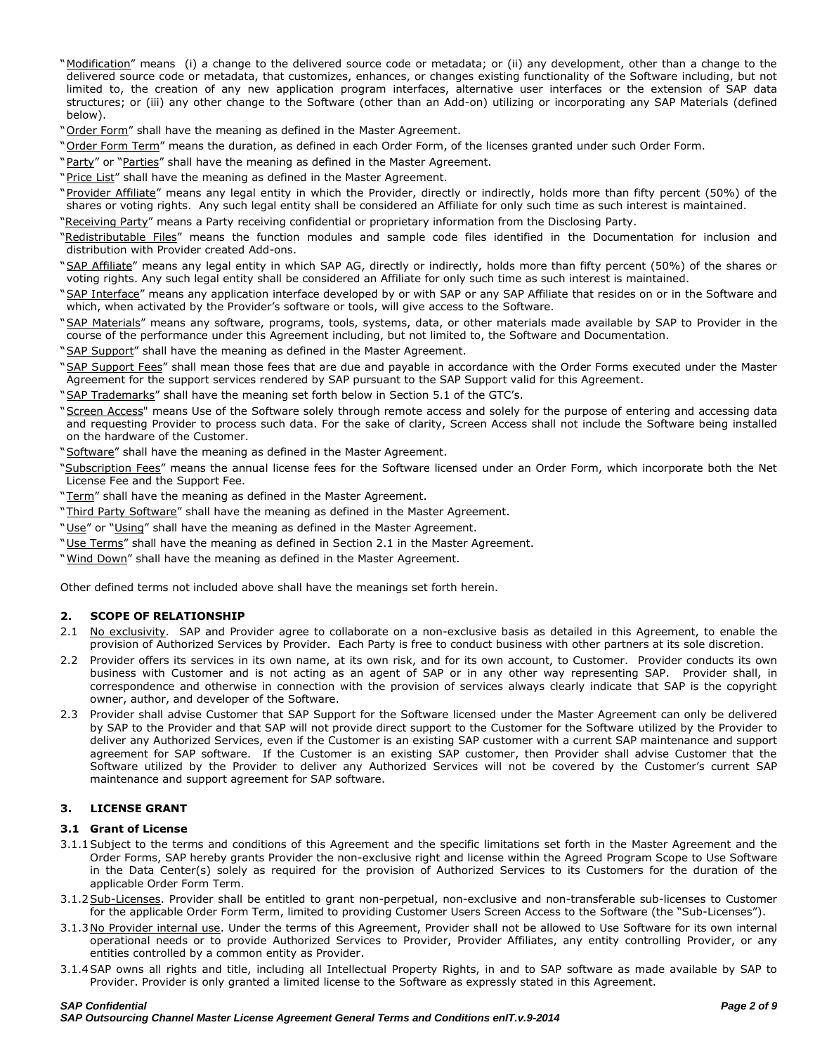- "Modification" means (i) a change to the delivered source code or metadata; or (ii) any development, other than a change to the delivered source code or metadata, that customizes, enhances, or changes existing functionality of the Software including, but not limited to, the creation of any new application program interfaces, alternative user interfaces or the extension of SAP data structures; or (iii) any other change to the Software (other than an Add-on) utilizing or incorporating any SAP Materials (defined below).
- "Order Form" shall have the meaning as defined in the Master Agreement.
- "Order Form Term" means the duration, as defined in each Order Form, of the licenses granted under such Order Form.
- "Party" or "Parties" shall have the meaning as defined in the Master Agreement.
- "Price List" shall have the meaning as defined in the Master Agreement.
- "Provider Affiliate" means any legal entity in which the Provider, directly or indirectly, holds more than fifty percent (50%) of the shares or voting rights. Any such legal entity shall be considered an Affiliate for only such time as such interest is maintained.
- "Receiving Party" means a Party receiving confidential or proprietary information from the Disclosing Party.
- "Redistributable Files" means the function modules and sample code files identified in the Documentation for inclusion and distribution with Provider created Add-ons.
- "SAP Affiliate" means any legal entity in which SAP AG, directly or indirectly, holds more than fifty percent (50%) of the shares or voting rights. Any such legal entity shall be considered an Affiliate for only such time as such interest is maintained.
- "SAP Interface" means any application interface developed by or with SAP or any SAP Affiliate that resides on or in the Software and which, when activated by the Provider's software or tools, will give access to the Software.
- "SAP Materials" means any software, programs, tools, systems, data, or other materials made available by SAP to Provider in the course of the performance under this Agreement including, but not limited to, the Software and Documentation.
- "SAP Support" shall have the meaning as defined in the Master Agreement.
- "SAP Support Fees" shall mean those fees that are due and payable in accordance with the Order Forms executed under the Master Agreement for the support services rendered by SAP pursuant to the SAP Support valid for this Agreement.
- "SAP Trademarks" shall have the meaning set forth below in Section 5.1 of the GTC's.
- "Screen Access" means Use of the Software solely through remote access and solely for the purpose of entering and accessing data and requesting Provider to process such data. For the sake of clarity, Screen Access shall not include the Software being installed on the hardware of the Customer.
- "Software" shall have the meaning as defined in the Master Agreement.
- "Subscription Fees" means the annual license fees for the Software licensed under an Order Form, which incorporate both the Net License Fee and the Support Fee.
- "Term" shall have the meaning as defined in the Master Agreement.
- "Third Party Software" shall have the meaning as defined in the Master Agreement.
- "Use" or "Using" shall have the meaning as defined in the Master Agreement.
- "Use Terms" shall have the meaning as defined in Section 2.1 in the Master Agreement.
- "Wind Down" shall have the meaning as defined in the Master Agreement.

Other defined terms not included above shall have the meanings set forth herein.

#### **2. SCOPE OF RELATIONSHIP**

- 2.1 No exclusivity. SAP and Provider agree to collaborate on a non-exclusive basis as detailed in this Agreement, to enable the provision of Authorized Services by Provider. Each Party is free to conduct business with other partners at its sole discretion.
- 2.2 Provider offers its services in its own name, at its own risk, and for its own account, to Customer. Provider conducts its own business with Customer and is not acting as an agent of SAP or in any other way representing SAP. Provider shall, in correspondence and otherwise in connection with the provision of services always clearly indicate that SAP is the copyright owner, author, and developer of the Software.
- 2.3 Provider shall advise Customer that SAP Support for the Software licensed under the Master Agreement can only be delivered by SAP to the Provider and that SAP will not provide direct support to the Customer for the Software utilized by the Provider to deliver any Authorized Services, even if the Customer is an existing SAP customer with a current SAP maintenance and support agreement for SAP software. If the Customer is an existing SAP customer, then Provider shall advise Customer that the Software utilized by the Provider to deliver any Authorized Services will not be covered by the Customer's current SAP maintenance and support agreement for SAP software.

#### **3. LICENSE GRANT**

#### **3.1 Grant of License**

- 3.1.1Subject to the terms and conditions of this Agreement and the specific limitations set forth in the Master Agreement and the Order Forms, SAP hereby grants Provider the non-exclusive right and license within the Agreed Program Scope to Use Software in the Data Center(s) solely as required for the provision of Authorized Services to its Customers for the duration of the applicable Order Form Term.
- 3.1.2 Sub-Licenses. Provider shall be entitled to grant non-perpetual, non-exclusive and non-transferable sub-licenses to Customer for the applicable Order Form Term, limited to providing Customer Users Screen Access to the Software (the "Sub-Licenses").
- 3.1.3No Provider internal use. Under the terms of this Agreement, Provider shall not be allowed to Use Software for its own internal operational needs or to provide Authorized Services to Provider, Provider Affiliates, any entity controlling Provider, or any entities controlled by a common entity as Provider.
- 3.1.4SAP owns all rights and title, including all Intellectual Property Rights, in and to SAP software as made available by SAP to Provider. Provider is only granted a limited license to the Software as expressly stated in this Agreement.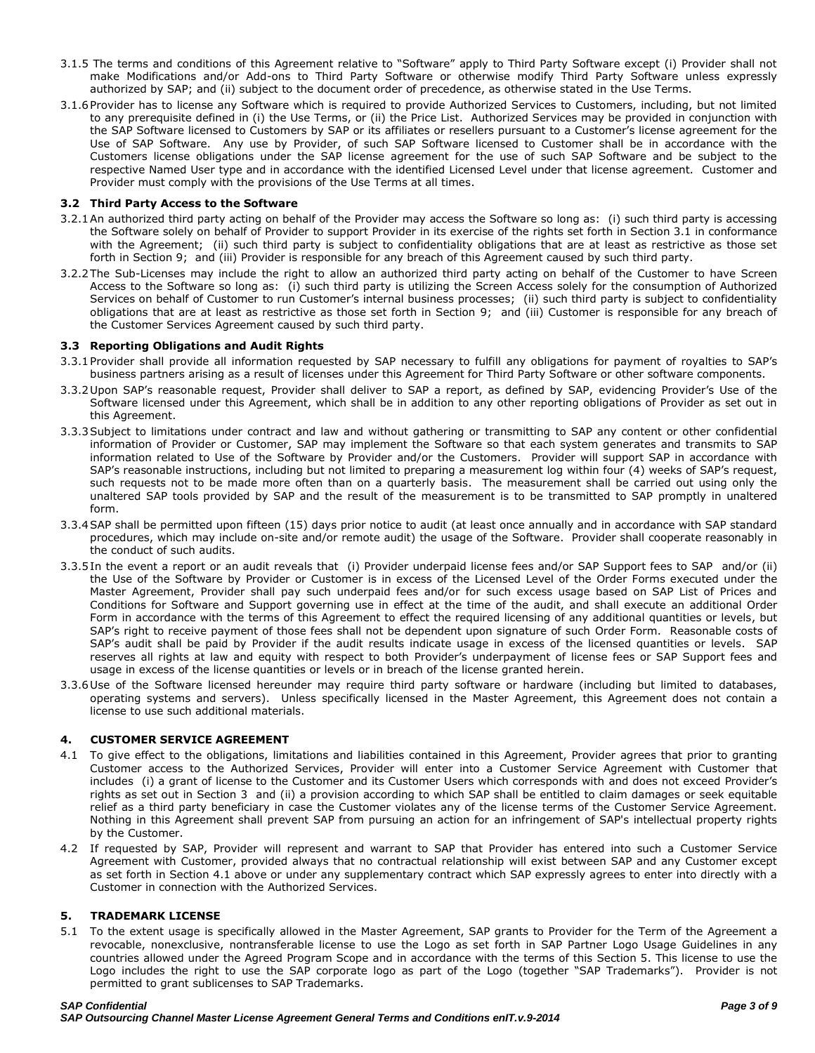- 3.1.5 The terms and conditions of this Agreement relative to "Software" apply to Third Party Software except (i) Provider shall not make Modifications and/or Add-ons to Third Party Software or otherwise modify Third Party Software unless expressly authorized by SAP; and (ii) subject to the document order of precedence, as otherwise stated in the Use Terms.
- 3.1.6Provider has to license any Software which is required to provide Authorized Services to Customers, including, but not limited to any prerequisite defined in (i) the Use Terms, or (ii) the Price List. Authorized Services may be provided in conjunction with the SAP Software licensed to Customers by SAP or its affiliates or resellers pursuant to a Customer's license agreement for the Use of SAP Software. Any use by Provider, of such SAP Software licensed to Customer shall be in accordance with the Customers license obligations under the SAP license agreement for the use of such SAP Software and be subject to the respective Named User type and in accordance with the identified Licensed Level under that license agreement. Customer and Provider must comply with the provisions of the Use Terms at all times.

#### **3.2 Third Party Access to the Software**

- 3.2.1An authorized third party acting on behalf of the Provider may access the Software so long as: (i) such third party is accessing the Software solely on behalf of Provider to support Provider in its exercise of the rights set forth in Section 3.1 in conformance with the Agreement; (ii) such third party is subject to confidentiality obligations that are at least as restrictive as those set forth in Section 9; and (iii) Provider is responsible for any breach of this Agreement caused by such third party.
- 3.2.2The Sub-Licenses may include the right to allow an authorized third party acting on behalf of the Customer to have Screen Access to the Software so long as: (i) such third party is utilizing the Screen Access solely for the consumption of Authorized Services on behalf of Customer to run Customer's internal business processes; (ii) such third party is subject to confidentiality obligations that are at least as restrictive as those set forth in Section 9; and (iii) Customer is responsible for any breach of the Customer Services Agreement caused by such third party.

### **3.3 Reporting Obligations and Audit Rights**

- 3.3.1Provider shall provide all information requested by SAP necessary to fulfill any obligations for payment of royalties to SAP's business partners arising as a result of licenses under this Agreement for Third Party Software or other software components.
- 3.3.2Upon SAP's reasonable request, Provider shall deliver to SAP a report, as defined by SAP, evidencing Provider's Use of the Software licensed under this Agreement, which shall be in addition to any other reporting obligations of Provider as set out in this Agreement.
- 3.3.3Subject to limitations under contract and law and without gathering or transmitting to SAP any content or other confidential information of Provider or Customer, SAP may implement the Software so that each system generates and transmits to SAP information related to Use of the Software by Provider and/or the Customers. Provider will support SAP in accordance with SAP's reasonable instructions, including but not limited to preparing a measurement log within four (4) weeks of SAP's request, such requests not to be made more often than on a quarterly basis. The measurement shall be carried out using only the unaltered SAP tools provided by SAP and the result of the measurement is to be transmitted to SAP promptly in unaltered form.
- 3.3.4SAP shall be permitted upon fifteen (15) days prior notice to audit (at least once annually and in accordance with SAP standard procedures, which may include on-site and/or remote audit) the usage of the Software. Provider shall cooperate reasonably in the conduct of such audits.
- 3.3.5In the event a report or an audit reveals that (i) Provider underpaid license fees and/or SAP Support fees to SAP and/or (ii) the Use of the Software by Provider or Customer is in excess of the Licensed Level of the Order Forms executed under the Master Agreement, Provider shall pay such underpaid fees and/or for such excess usage based on SAP List of Prices and Conditions for Software and Support governing use in effect at the time of the audit, and shall execute an additional Order Form in accordance with the terms of this Agreement to effect the required licensing of any additional quantities or levels, but SAP's right to receive payment of those fees shall not be dependent upon signature of such Order Form. Reasonable costs of SAP's audit shall be paid by Provider if the audit results indicate usage in excess of the licensed quantities or levels. SAP reserves all rights at law and equity with respect to both Provider's underpayment of license fees or SAP Support fees and usage in excess of the license quantities or levels or in breach of the license granted herein.
- 3.3.6Use of the Software licensed hereunder may require third party software or hardware (including but limited to databases, operating systems and servers). Unless specifically licensed in the Master Agreement, this Agreement does not contain a license to use such additional materials.

# **4. CUSTOMER SERVICE AGREEMENT**

- 4.1 To give effect to the obligations, limitations and liabilities contained in this Agreement, Provider agrees that prior to granting Customer access to the Authorized Services, Provider will enter into a Customer Service Agreement with Customer that includes (i) a grant of license to the Customer and its Customer Users which corresponds with and does not exceed Provider's rights as set out in Section 3 and (ii) a provision according to which SAP shall be entitled to claim damages or seek equitable relief as a third party beneficiary in case the Customer violates any of the license terms of the Customer Service Agreement. Nothing in this Agreement shall prevent SAP from pursuing an action for an infringement of SAP's intellectual property rights by the Customer.
- 4.2 If requested by SAP, Provider will represent and warrant to SAP that Provider has entered into such a Customer Service Agreement with Customer, provided always that no contractual relationship will exist between SAP and any Customer except as set forth in Section 4.1 above or under any supplementary contract which SAP expressly agrees to enter into directly with a Customer in connection with the Authorized Services.

#### **5. TRADEMARK LICENSE**

5.1 To the extent usage is specifically allowed in the Master Agreement, SAP grants to Provider for the Term of the Agreement a revocable, nonexclusive, nontransferable license to use the Logo as set forth in SAP Partner Logo Usage Guidelines in any countries allowed under the Agreed Program Scope and in accordance with the terms of this Section 5. This license to use the Logo includes the right to use the SAP corporate logo as part of the Logo (together "SAP Trademarks"). Provider is not permitted to grant sublicenses to SAP Trademarks.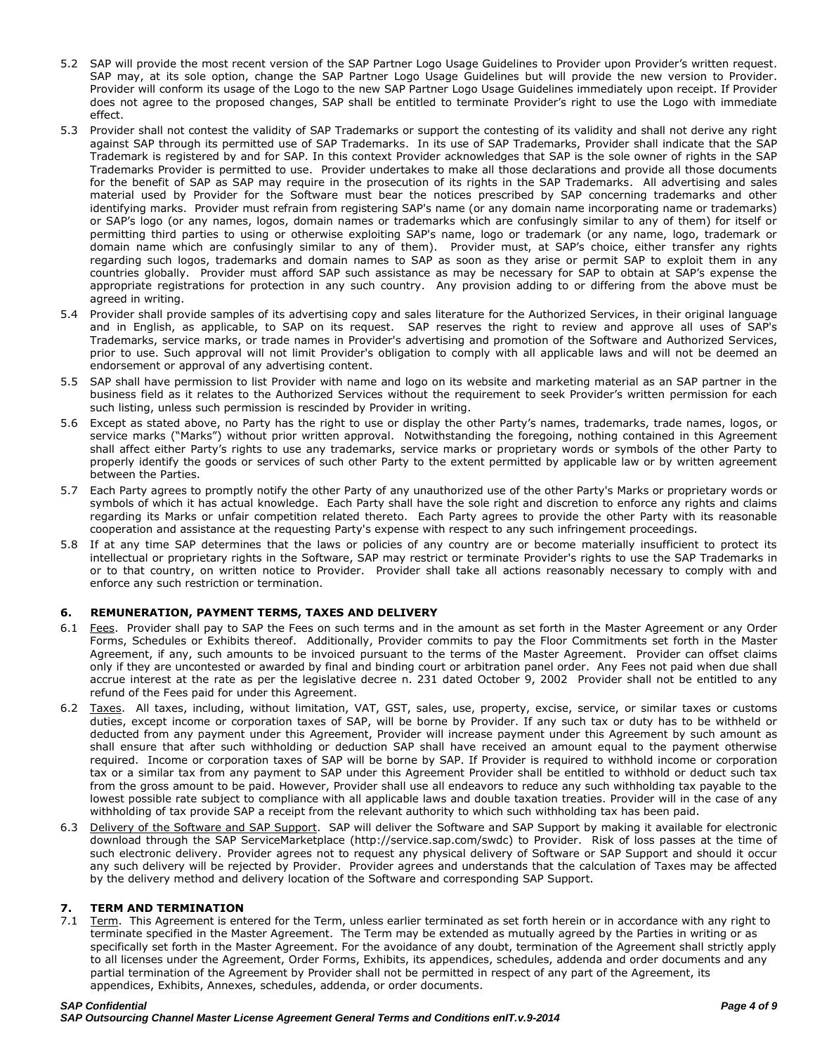- 5.2 SAP will provide the most recent version of the SAP Partner Logo Usage Guidelines to Provider upon Provider's written request. SAP may, at its sole option, change the SAP Partner Logo Usage Guidelines but will provide the new version to Provider. Provider will conform its usage of the Logo to the new SAP Partner Logo Usage Guidelines immediately upon receipt. If Provider does not agree to the proposed changes, SAP shall be entitled to terminate Provider's right to use the Logo with immediate effect.
- 5.3 Provider shall not contest the validity of SAP Trademarks or support the contesting of its validity and shall not derive any right against SAP through its permitted use of SAP Trademarks. In its use of SAP Trademarks, Provider shall indicate that the SAP Trademark is registered by and for SAP. In this context Provider acknowledges that SAP is the sole owner of rights in the SAP Trademarks Provider is permitted to use. Provider undertakes to make all those declarations and provide all those documents for the benefit of SAP as SAP may require in the prosecution of its rights in the SAP Trademarks. All advertising and sales material used by Provider for the Software must bear the notices prescribed by SAP concerning trademarks and other identifying marks. Provider must refrain from registering SAP's name (or any domain name incorporating name or trademarks) or SAP's logo (or any names, logos, domain names or trademarks which are confusingly similar to any of them) for itself or permitting third parties to using or otherwise exploiting SAP's name, logo or trademark (or any name, logo, trademark or domain name which are confusingly similar to any of them). Provider must, at SAP's choice, either transfer any rights regarding such logos, trademarks and domain names to SAP as soon as they arise or permit SAP to exploit them in any countries globally. Provider must afford SAP such assistance as may be necessary for SAP to obtain at SAP's expense the appropriate registrations for protection in any such country. Any provision adding to or differing from the above must be agreed in writing.
- 5.4 Provider shall provide samples of its advertising copy and sales literature for the Authorized Services, in their original language and in English, as applicable, to SAP on its request. SAP reserves the right to review and approve all uses of SAP's Trademarks, service marks, or trade names in Provider's advertising and promotion of the Software and Authorized Services, prior to use. Such approval will not limit Provider's obligation to comply with all applicable laws and will not be deemed an endorsement or approval of any advertising content.
- 5.5 SAP shall have permission to list Provider with name and logo on its website and marketing material as an SAP partner in the business field as it relates to the Authorized Services without the requirement to seek Provider's written permission for each such listing, unless such permission is rescinded by Provider in writing.
- 5.6 Except as stated above, no Party has the right to use or display the other Party's names, trademarks, trade names, logos, or service marks ("Marks") without prior written approval. Notwithstanding the foregoing, nothing contained in this Agreement shall affect either Party's rights to use any trademarks, service marks or proprietary words or symbols of the other Party to properly identify the goods or services of such other Party to the extent permitted by applicable law or by written agreement between the Parties.
- 5.7 Each Party agrees to promptly notify the other Party of any unauthorized use of the other Party's Marks or proprietary words or symbols of which it has actual knowledge. Each Party shall have the sole right and discretion to enforce any rights and claims regarding its Marks or unfair competition related thereto. Each Party agrees to provide the other Party with its reasonable cooperation and assistance at the requesting Party's expense with respect to any such infringement proceedings.
- 5.8 If at any time SAP determines that the laws or policies of any country are or become materially insufficient to protect its intellectual or proprietary rights in the Software, SAP may restrict or terminate Provider's rights to use the SAP Trademarks in or to that country, on written notice to Provider. Provider shall take all actions reasonably necessary to comply with and enforce any such restriction or termination.

# **6. REMUNERATION, PAYMENT TERMS, TAXES AND DELIVERY**

- 6.1 Fees. Provider shall pay to SAP the Fees on such terms and in the amount as set forth in the Master Agreement or any Order Forms, Schedules or Exhibits thereof. Additionally, Provider commits to pay the Floor Commitments set forth in the Master Agreement, if any, such amounts to be invoiced pursuant to the terms of the Master Agreement. Provider can offset claims only if they are uncontested or awarded by final and binding court or arbitration panel order. Any Fees not paid when due shall accrue interest at the rate as per the legislative decree n. 231 dated October 9, 2002 Provider shall not be entitled to any refund of the Fees paid for under this Agreement.
- 6.2 Taxes. All taxes, including, without limitation, VAT, GST, sales, use, property, excise, service, or similar taxes or customs duties, except income or corporation taxes of SAP, will be borne by Provider. If any such tax or duty has to be withheld or deducted from any payment under this Agreement, Provider will increase payment under this Agreement by such amount as shall ensure that after such withholding or deduction SAP shall have received an amount equal to the payment otherwise required. Income or corporation taxes of SAP will be borne by SAP. If Provider is required to withhold income or corporation tax or a similar tax from any payment to SAP under this Agreement Provider shall be entitled to withhold or deduct such tax from the gross amount to be paid. However, Provider shall use all endeavors to reduce any such withholding tax payable to the lowest possible rate subject to compliance with all applicable laws and double taxation treaties. Provider will in the case of any withholding of tax provide SAP a receipt from the relevant authority to which such withholding tax has been paid.
- 6.3 Delivery of the Software and SAP Support. SAP will deliver the Software and SAP Support by making it available for electronic download through the SAP ServiceMarketplace (http://service.sap.com/swdc) to Provider. Risk of loss passes at the time of such electronic delivery. Provider agrees not to request any physical delivery of Software or SAP Support and should it occur any such delivery will be rejected by Provider. Provider agrees and understands that the calculation of Taxes may be affected by the delivery method and delivery location of the Software and corresponding SAP Support.

#### **7. TERM AND TERMINATION**

7.1 Term. This Agreement is entered for the Term, unless earlier terminated as set forth herein or in accordance with any right to terminate specified in the Master Agreement. The Term may be extended as mutually agreed by the Parties in writing or as specifically set forth in the Master Agreement. For the avoidance of any doubt, termination of the Agreement shall strictly apply to all licenses under the Agreement, Order Forms, Exhibits, its appendices, schedules, addenda and order documents and any partial termination of the Agreement by Provider shall not be permitted in respect of any part of the Agreement, its appendices, Exhibits, Annexes, schedules, addenda, or order documents.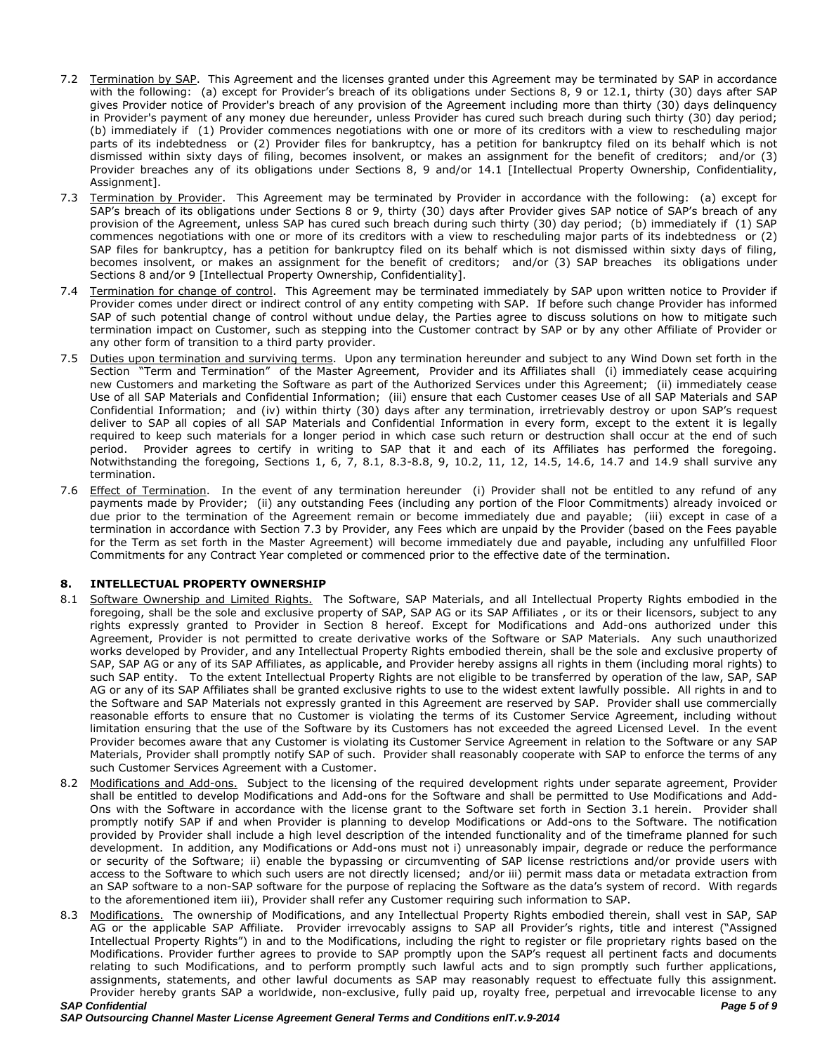- 7.2 Termination by SAP. This Agreement and the licenses granted under this Agreement may be terminated by SAP in accordance with the following: (a) except for Provider's breach of its obligations under Sections 8, 9 or 12.1, thirty (30) days after SAP gives Provider notice of Provider's breach of any provision of the Agreement including more than thirty (30) days delinquency in Provider's payment of any money due hereunder, unless Provider has cured such breach during such thirty (30) day period; (b) immediately if (1) Provider commences negotiations with one or more of its creditors with a view to rescheduling major parts of its indebtedness or (2) Provider files for bankruptcy, has a petition for bankruptcy filed on its behalf which is not dismissed within sixty days of filing, becomes insolvent, or makes an assignment for the benefit of creditors; and/or (3) Provider breaches any of its obligations under Sections 8, 9 and/or 14.1 [Intellectual Property Ownership, Confidentiality, Assignment].
- 7.3 Termination by Provider. This Agreement may be terminated by Provider in accordance with the following: (a) except for SAP's breach of its obligations under Sections 8 or 9, thirty (30) days after Provider gives SAP notice of SAP's breach of any provision of the Agreement, unless SAP has cured such breach during such thirty (30) day period; (b) immediately if (1) SAP commences negotiations with one or more of its creditors with a view to rescheduling major parts of its indebtedness or (2) SAP files for bankruptcy, has a petition for bankruptcy filed on its behalf which is not dismissed within sixty days of filing, becomes insolvent, or makes an assignment for the benefit of creditors; and/or (3) SAP breaches its obligations under Sections 8 and/or 9 [Intellectual Property Ownership, Confidentiality].
- 7.4 Termination for change of control. This Agreement may be terminated immediately by SAP upon written notice to Provider if Provider comes under direct or indirect control of any entity competing with SAP. If before such change Provider has informed SAP of such potential change of control without undue delay, the Parties agree to discuss solutions on how to mitigate such termination impact on Customer, such as stepping into the Customer contract by SAP or by any other Affiliate of Provider or any other form of transition to a third party provider.
- 7.5 Duties upon termination and surviving terms. Upon any termination hereunder and subject to any Wind Down set forth in the Section "Term and Termination" of the Master Agreement, Provider and its Affiliates shall (i) immediately cease acquiring new Customers and marketing the Software as part of the Authorized Services under this Agreement; (ii) immediately cease Use of all SAP Materials and Confidential Information; (iii) ensure that each Customer ceases Use of all SAP Materials and SAP Confidential Information; and (iv) within thirty (30) days after any termination, irretrievably destroy or upon SAP's request deliver to SAP all copies of all SAP Materials and Confidential Information in every form, except to the extent it is legally required to keep such materials for a longer period in which case such return or destruction shall occur at the end of such period. Provider agrees to certify in writing to SAP that it and each of its Affiliates has performed the foregoing. Notwithstanding the foregoing, Sections 1, 6, 7, 8.1, 8.3-8.8, 9, 10.2, 11, 12, 14.5, 14.6, 14.7 and 14.9 shall survive any termination.
- 7.6 Effect of Termination. In the event of any termination hereunder (i) Provider shall not be entitled to any refund of any payments made by Provider; (ii) any outstanding Fees (including any portion of the Floor Commitments) already invoiced or due prior to the termination of the Agreement remain or become immediately due and payable; (iii) except in case of a termination in accordance with Section 7.3 by Provider, any Fees which are unpaid by the Provider (based on the Fees payable for the Term as set forth in the Master Agreement) will become immediately due and payable, including any unfulfilled Floor Commitments for any Contract Year completed or commenced prior to the effective date of the termination.

# **8. INTELLECTUAL PROPERTY OWNERSHIP**

- 8.1 Software Ownership and Limited Rights. The Software, SAP Materials, and all Intellectual Property Rights embodied in the foregoing, shall be the sole and exclusive property of SAP, SAP AG or its SAP Affiliates , or its or their licensors, subject to any rights expressly granted to Provider in Section 8 hereof. Except for Modifications and Add-ons authorized under this Agreement, Provider is not permitted to create derivative works of the Software or SAP Materials. Any such unauthorized works developed by Provider, and any Intellectual Property Rights embodied therein, shall be the sole and exclusive property of SAP, SAP AG or any of its SAP Affiliates, as applicable, and Provider hereby assigns all rights in them (including moral rights) to such SAP entity. To the extent Intellectual Property Rights are not eligible to be transferred by operation of the law, SAP, SAP AG or any of its SAP Affiliates shall be granted exclusive rights to use to the widest extent lawfully possible. All rights in and to the Software and SAP Materials not expressly granted in this Agreement are reserved by SAP. Provider shall use commercially reasonable efforts to ensure that no Customer is violating the terms of its Customer Service Agreement, including without limitation ensuring that the use of the Software by its Customers has not exceeded the agreed Licensed Level. In the event Provider becomes aware that any Customer is violating its Customer Service Agreement in relation to the Software or any SAP Materials, Provider shall promptly notify SAP of such. Provider shall reasonably cooperate with SAP to enforce the terms of any such Customer Services Agreement with a Customer.
- 8.2 Modifications and Add-ons. Subject to the licensing of the required development rights under separate agreement, Provider shall be entitled to develop Modifications and Add-ons for the Software and shall be permitted to Use Modifications and Add-Ons with the Software in accordance with the license grant to the Software set forth in Section 3.1 herein. Provider shall promptly notify SAP if and when Provider is planning to develop Modifications or Add-ons to the Software. The notification provided by Provider shall include a high level description of the intended functionality and of the timeframe planned for such development. In addition, any Modifications or Add-ons must not i) unreasonably impair, degrade or reduce the performance or security of the Software; ii) enable the bypassing or circumventing of SAP license restrictions and/or provide users with access to the Software to which such users are not directly licensed; and/or iii) permit mass data or metadata extraction from an SAP software to a non-SAP software for the purpose of replacing the Software as the data's system of record. With regards to the aforementioned item iii), Provider shall refer any Customer requiring such information to SAP.
- *SAP Confidential Page 5 of 9* 8.3 Modifications. The ownership of Modifications, and any Intellectual Property Rights embodied therein, shall vest in SAP, SAP AG or the applicable SAP Affiliate. Provider irrevocably assigns to SAP all Provider's rights, title and interest ("Assigned Intellectual Property Rights") in and to the Modifications, including the right to register or file proprietary rights based on the Modifications. Provider further agrees to provide to SAP promptly upon the SAP's request all pertinent facts and documents relating to such Modifications, and to perform promptly such lawful acts and to sign promptly such further applications, assignments, statements, and other lawful documents as SAP may reasonably request to effectuate fully this assignment. Provider hereby grants SAP a worldwide, non-exclusive, fully paid up, royalty free, perpetual and irrevocable license to any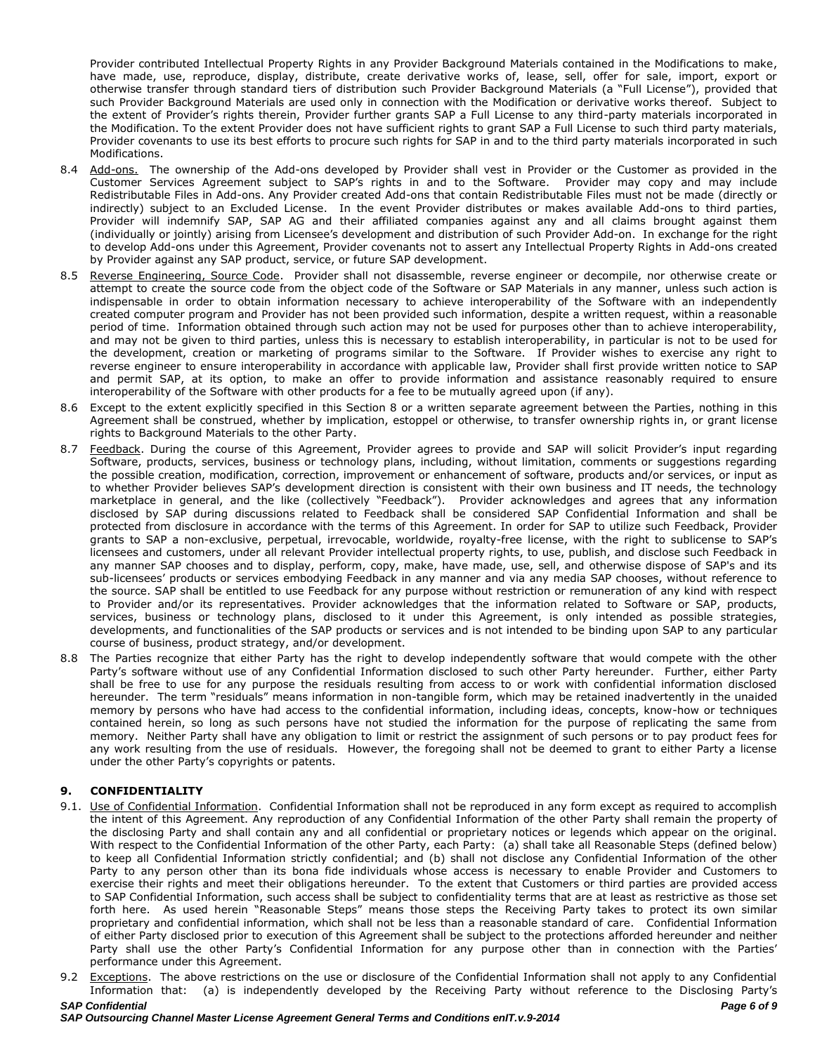Provider contributed Intellectual Property Rights in any Provider Background Materials contained in the Modifications to make, have made, use, reproduce, display, distribute, create derivative works of, lease, sell, offer for sale, import, export or otherwise transfer through standard tiers of distribution such Provider Background Materials (a "Full License"), provided that such Provider Background Materials are used only in connection with the Modification or derivative works thereof. Subject to the extent of Provider's rights therein, Provider further grants SAP a Full License to any third-party materials incorporated in the Modification. To the extent Provider does not have sufficient rights to grant SAP a Full License to such third party materials, Provider covenants to use its best efforts to procure such rights for SAP in and to the third party materials incorporated in such Modifications.

- 8.4 Add-ons. The ownership of the Add-ons developed by Provider shall vest in Provider or the Customer as provided in the Customer Services Agreement subject to SAP's rights in and to the Software. Provider may copy and may include Redistributable Files in Add-ons. Any Provider created Add-ons that contain Redistributable Files must not be made (directly or indirectly) subject to an Excluded License. In the event Provider distributes or makes available Add-ons to third parties, Provider will indemnify SAP, SAP AG and their affiliated companies against any and all claims brought against them (individually or jointly) arising from Licensee's development and distribution of such Provider Add-on. In exchange for the right to develop Add-ons under this Agreement, Provider covenants not to assert any Intellectual Property Rights in Add-ons created by Provider against any SAP product, service, or future SAP development.
- 8.5 Reverse Engineering, Source Code. Provider shall not disassemble, reverse engineer or decompile, nor otherwise create or attempt to create the source code from the object code of the Software or SAP Materials in any manner, unless such action is indispensable in order to obtain information necessary to achieve interoperability of the Software with an independently created computer program and Provider has not been provided such information, despite a written request, within a reasonable period of time. Information obtained through such action may not be used for purposes other than to achieve interoperability, and may not be given to third parties, unless this is necessary to establish interoperability, in particular is not to be used for the development, creation or marketing of programs similar to the Software. If Provider wishes to exercise any right to reverse engineer to ensure interoperability in accordance with applicable law, Provider shall first provide written notice to SAP and permit SAP, at its option, to make an offer to provide information and assistance reasonably required to ensure interoperability of the Software with other products for a fee to be mutually agreed upon (if any).
- 8.6 Except to the extent explicitly specified in this Section 8 or a written separate agreement between the Parties, nothing in this Agreement shall be construed, whether by implication, estoppel or otherwise, to transfer ownership rights in, or grant license rights to Background Materials to the other Party.
- 8.7 Feedback. During the course of this Agreement, Provider agrees to provide and SAP will solicit Provider's input regarding Software, products, services, business or technology plans, including, without limitation, comments or suggestions regarding the possible creation, modification, correction, improvement or enhancement of software, products and/or services, or input as to whether Provider believes SAP's development direction is consistent with their own business and IT needs, the technology marketplace in general, and the like (collectively "Feedback"). Provider acknowledges and agrees that any information disclosed by SAP during discussions related to Feedback shall be considered SAP Confidential Information and shall be protected from disclosure in accordance with the terms of this Agreement. In order for SAP to utilize such Feedback, Provider grants to SAP a non-exclusive, perpetual, irrevocable, worldwide, royalty-free license, with the right to sublicense to SAP's licensees and customers, under all relevant Provider intellectual property rights, to use, publish, and disclose such Feedback in any manner SAP chooses and to display, perform, copy, make, have made, use, sell, and otherwise dispose of SAP's and its sub-licensees' products or services embodying Feedback in any manner and via any media SAP chooses, without reference to the source. SAP shall be entitled to use Feedback for any purpose without restriction or remuneration of any kind with respect to Provider and/or its representatives. Provider acknowledges that the information related to Software or SAP, products, services, business or technology plans, disclosed to it under this Agreement, is only intended as possible strategies, developments, and functionalities of the SAP products or services and is not intended to be binding upon SAP to any particular course of business, product strategy, and/or development.
- 8.8 The Parties recognize that either Party has the right to develop independently software that would compete with the other Party's software without use of any Confidential Information disclosed to such other Party hereunder. Further, either Party shall be free to use for any purpose the residuals resulting from access to or work with confidential information disclosed hereunder. The term "residuals" means information in non-tangible form, which may be retained inadvertently in the unaided memory by persons who have had access to the confidential information, including ideas, concepts, know-how or techniques contained herein, so long as such persons have not studied the information for the purpose of replicating the same from memory. Neither Party shall have any obligation to limit or restrict the assignment of such persons or to pay product fees for any work resulting from the use of residuals. However, the foregoing shall not be deemed to grant to either Party a license under the other Party's copyrights or patents.

# **9. CONFIDENTIALITY**

- 9.1. Use of Confidential Information. Confidential Information shall not be reproduced in any form except as required to accomplish the intent of this Agreement. Any reproduction of any Confidential Information of the other Party shall remain the property of the disclosing Party and shall contain any and all confidential or proprietary notices or legends which appear on the original. With respect to the Confidential Information of the other Party, each Party: (a) shall take all Reasonable Steps (defined below) to keep all Confidential Information strictly confidential; and (b) shall not disclose any Confidential Information of the other Party to any person other than its bona fide individuals whose access is necessary to enable Provider and Customers to exercise their rights and meet their obligations hereunder. To the extent that Customers or third parties are provided access to SAP Confidential Information, such access shall be subject to confidentiality terms that are at least as restrictive as those set forth here. As used herein "Reasonable Steps" means those steps the Receiving Party takes to protect its own similar proprietary and confidential information, which shall not be less than a reasonable standard of care. Confidential Information of either Party disclosed prior to execution of this Agreement shall be subject to the protections afforded hereunder and neither Party shall use the other Party's Confidential Information for any purpose other than in connection with the Parties' performance under this Agreement.
- 9.2 Exceptions. The above restrictions on the use or disclosure of the Confidential Information shall not apply to any Confidential Information that: (a) is independently developed by the Receiving Party without reference to the Disclosing Party's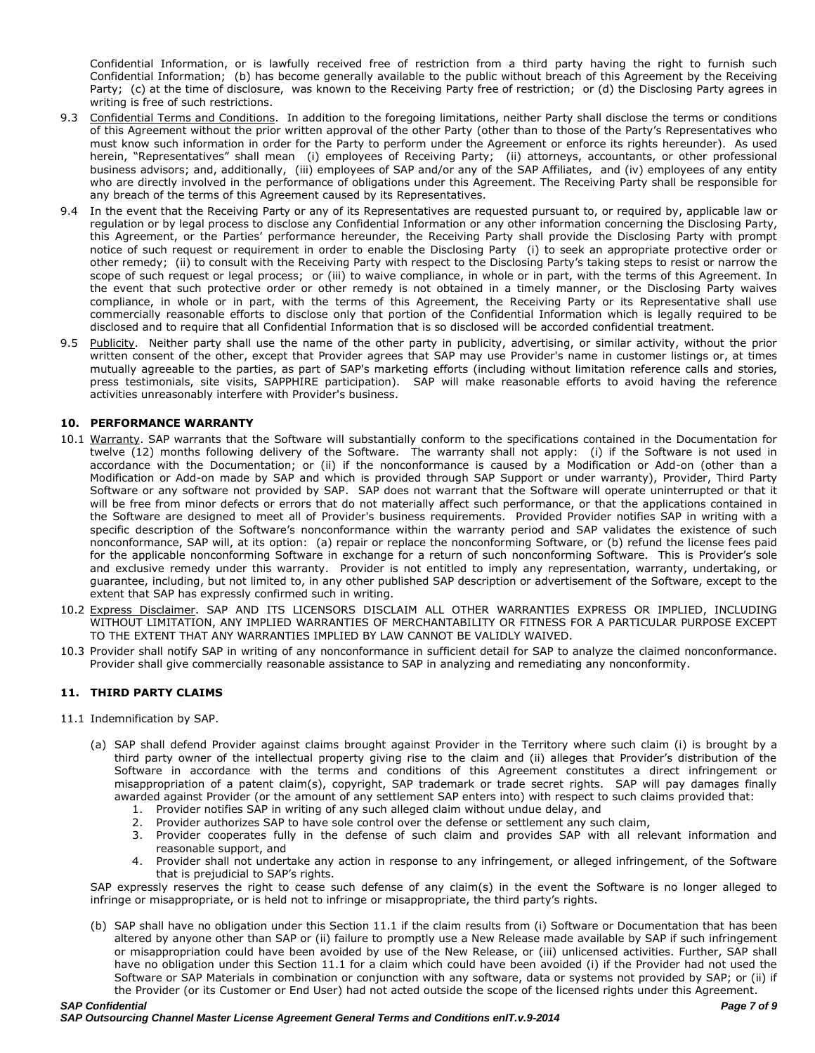Confidential Information, or is lawfully received free of restriction from a third party having the right to furnish such Confidential Information; (b) has become generally available to the public without breach of this Agreement by the Receiving Party; (c) at the time of disclosure, was known to the Receiving Party free of restriction; or (d) the Disclosing Party agrees in writing is free of such restrictions.

- 9.3 Confidential Terms and Conditions. In addition to the foregoing limitations, neither Party shall disclose the terms or conditions of this Agreement without the prior written approval of the other Party (other than to those of the Party's Representatives who must know such information in order for the Party to perform under the Agreement or enforce its rights hereunder). As used herein, "Representatives" shall mean (i) employees of Receiving Party; (ii) attorneys, accountants, or other professional business advisors; and, additionally, (iii) employees of SAP and/or any of the SAP Affiliates, and (iv) employees of any entity who are directly involved in the performance of obligations under this Agreement. The Receiving Party shall be responsible for any breach of the terms of this Agreement caused by its Representatives.
- 9.4 In the event that the Receiving Party or any of its Representatives are requested pursuant to, or required by, applicable law or regulation or by legal process to disclose any Confidential Information or any other information concerning the Disclosing Party, this Agreement, or the Parties' performance hereunder, the Receiving Party shall provide the Disclosing Party with prompt notice of such request or requirement in order to enable the Disclosing Party (i) to seek an appropriate protective order or other remedy; (ii) to consult with the Receiving Party with respect to the Disclosing Party's taking steps to resist or narrow the scope of such request or legal process; or (iii) to waive compliance, in whole or in part, with the terms of this Agreement. In the event that such protective order or other remedy is not obtained in a timely manner, or the Disclosing Party waives compliance, in whole or in part, with the terms of this Agreement, the Receiving Party or its Representative shall use commercially reasonable efforts to disclose only that portion of the Confidential Information which is legally required to be disclosed and to require that all Confidential Information that is so disclosed will be accorded confidential treatment.
- 9.5 Publicity. Neither party shall use the name of the other party in publicity, advertising, or similar activity, without the prior written consent of the other, except that Provider agrees that SAP may use Provider's name in customer listings or, at times mutually agreeable to the parties, as part of SAP's marketing efforts (including without limitation reference calls and stories, press testimonials, site visits, SAPPHIRE participation). SAP will make reasonable efforts to avoid having the reference activities unreasonably interfere with Provider's business.

### **10. PERFORMANCE WARRANTY**

- 10.1 Warranty. SAP warrants that the Software will substantially conform to the specifications contained in the Documentation for twelve (12) months following delivery of the Software. The warranty shall not apply: (i) if the Software is not used in accordance with the Documentation; or (ii) if the nonconformance is caused by a Modification or Add-on (other than a Modification or Add-on made by SAP and which is provided through SAP Support or under warranty), Provider, Third Party Software or any software not provided by SAP. SAP does not warrant that the Software will operate uninterrupted or that it will be free from minor defects or errors that do not materially affect such performance, or that the applications contained in the Software are designed to meet all of Provider's business requirements. Provided Provider notifies SAP in writing with a specific description of the Software's nonconformance within the warranty period and SAP validates the existence of such nonconformance, SAP will, at its option: (a) repair or replace the nonconforming Software, or (b) refund the license fees paid for the applicable nonconforming Software in exchange for a return of such nonconforming Software. This is Provider's sole and exclusive remedy under this warranty. Provider is not entitled to imply any representation, warranty, undertaking, or guarantee, including, but not limited to, in any other published SAP description or advertisement of the Software, except to the extent that SAP has expressly confirmed such in writing.
- 10.2 Express Disclaimer. SAP AND ITS LICENSORS DISCLAIM ALL OTHER WARRANTIES EXPRESS OR IMPLIED, INCLUDING WITHOUT LIMITATION, ANY IMPLIED WARRANTIES OF MERCHANTABILITY OR FITNESS FOR A PARTICULAR PURPOSE EXCEPT TO THE EXTENT THAT ANY WARRANTIES IMPLIED BY LAW CANNOT BE VALIDLY WAIVED.
- 10.3 Provider shall notify SAP in writing of any nonconformance in sufficient detail for SAP to analyze the claimed nonconformance. Provider shall give commercially reasonable assistance to SAP in analyzing and remediating any nonconformity.

#### **11. THIRD PARTY CLAIMS**

- 11.1 Indemnification by SAP.
	- (a) SAP shall defend Provider against claims brought against Provider in the Territory where such claim (i) is brought by a third party owner of the intellectual property giving rise to the claim and (ii) alleges that Provider's distribution of the Software in accordance with the terms and conditions of this Agreement constitutes a direct infringement or misappropriation of a patent claim(s), copyright, SAP trademark or trade secret rights. SAP will pay damages finally awarded against Provider (or the amount of any settlement SAP enters into) with respect to such claims provided that:
		- 1. Provider notifies SAP in writing of any such alleged claim without undue delay, and
		- 2. Provider authorizes SAP to have sole control over the defense or settlement any such claim,
		- 3. Provider cooperates fully in the defense of such claim and provides SAP with all relevant information and reasonable support, and
		- 4. Provider shall not undertake any action in response to any infringement, or alleged infringement, of the Software that is prejudicial to SAP's rights.

SAP expressly reserves the right to cease such defense of any claim(s) in the event the Software is no longer alleged to infringe or misappropriate, or is held not to infringe or misappropriate, the third party's rights.

(b) SAP shall have no obligation under this Section 11.1 if the claim results from (i) Software or Documentation that has been altered by anyone other than SAP or (ii) failure to promptly use a New Release made available by SAP if such infringement or misappropriation could have been avoided by use of the New Release, or (iii) unlicensed activities. Further, SAP shall have no obligation under this Section 11.1 for a claim which could have been avoided (i) if the Provider had not used the Software or SAP Materials in combination or conjunction with any software, data or systems not provided by SAP; or (ii) if the Provider (or its Customer or End User) had not acted outside the scope of the licensed rights under this Agreement.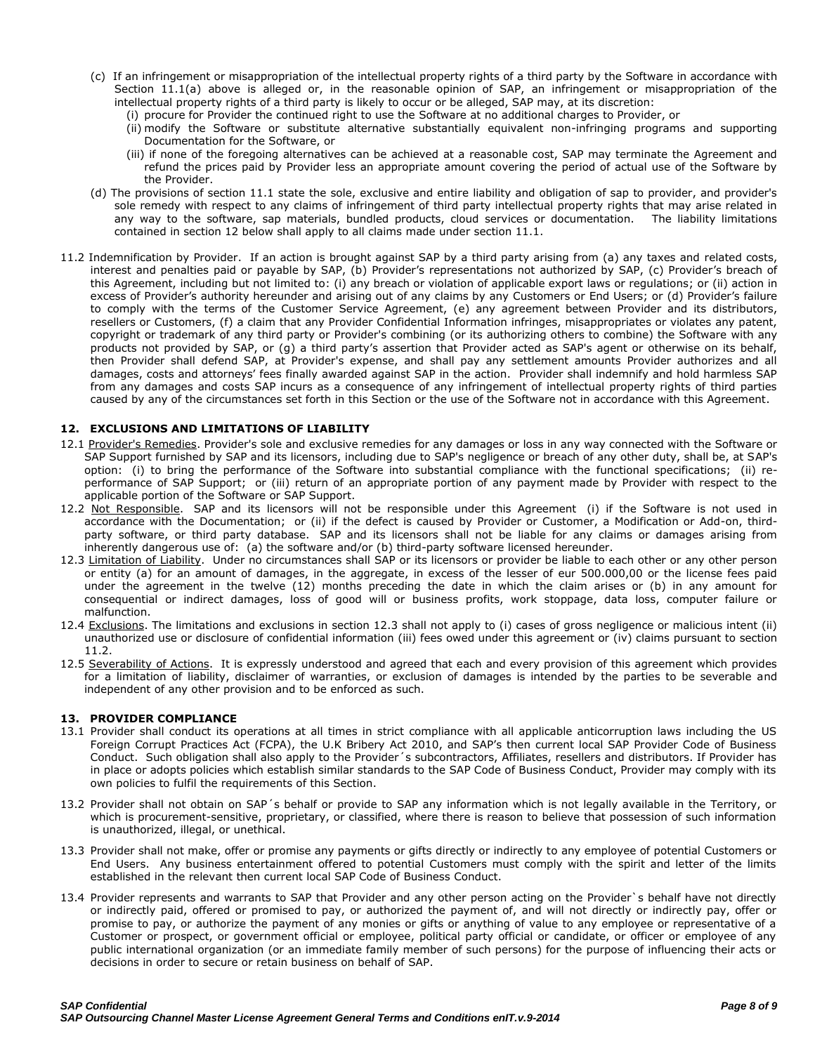- (c) If an infringement or misappropriation of the intellectual property rights of a third party by the Software in accordance with Section 11.1(a) above is alleged or, in the reasonable opinion of SAP, an infringement or misappropriation of the intellectual property rights of a third party is likely to occur or be alleged, SAP may, at its discretion:
	- (i) procure for Provider the continued right to use the Software at no additional charges to Provider, or
	- (ii) modify the Software or substitute alternative substantially equivalent non-infringing programs and supporting Documentation for the Software, or
	- (iii) if none of the foregoing alternatives can be achieved at a reasonable cost, SAP may terminate the Agreement and refund the prices paid by Provider less an appropriate amount covering the period of actual use of the Software by the Provider.
- (d) The provisions of section 11.1 state the sole, exclusive and entire liability and obligation of sap to provider, and provider's sole remedy with respect to any claims of infringement of third party intellectual property rights that may arise related in any way to the software, sap materials, bundled products, cloud services or documentation. The liability limitations contained in section 12 below shall apply to all claims made under section 11.1.
- 11.2 Indemnification by Provider. If an action is brought against SAP by a third party arising from (a) any taxes and related costs, interest and penalties paid or payable by SAP, (b) Provider's representations not authorized by SAP, (c) Provider's breach of this Agreement, including but not limited to: (i) any breach or violation of applicable export laws or regulations; or (ii) action in excess of Provider's authority hereunder and arising out of any claims by any Customers or End Users; or (d) Provider's failure to comply with the terms of the Customer Service Agreement, (e) any agreement between Provider and its distributors, resellers or Customers, (f) a claim that any Provider Confidential Information infringes, misappropriates or violates any patent, copyright or trademark of any third party or Provider's combining (or its authorizing others to combine) the Software with any products not provided by SAP, or (g) a third party's assertion that Provider acted as SAP's agent or otherwise on its behalf, then Provider shall defend SAP, at Provider's expense, and shall pay any settlement amounts Provider authorizes and all damages, costs and attorneys' fees finally awarded against SAP in the action. Provider shall indemnify and hold harmless SAP from any damages and costs SAP incurs as a consequence of any infringement of intellectual property rights of third parties caused by any of the circumstances set forth in this Section or the use of the Software not in accordance with this Agreement.

# **12. EXCLUSIONS AND LIMITATIONS OF LIABILITY**

- 12.1 Provider's Remedies. Provider's sole and exclusive remedies for any damages or loss in any way connected with the Software or SAP Support furnished by SAP and its licensors, including due to SAP's negligence or breach of any other duty, shall be, at SAP's option: (i) to bring the performance of the Software into substantial compliance with the functional specifications; (ii) reperformance of SAP Support; or (iii) return of an appropriate portion of any payment made by Provider with respect to the applicable portion of the Software or SAP Support.
- 12.2 Not Responsible. SAP and its licensors will not be responsible under this Agreement (i) if the Software is not used in accordance with the Documentation; or (ii) if the defect is caused by Provider or Customer, a Modification or Add-on, thirdparty software, or third party database. SAP and its licensors shall not be liable for any claims or damages arising from inherently dangerous use of: (a) the software and/or (b) third-party software licensed hereunder.
- 12.3 Limitation of Liability. Under no circumstances shall SAP or its licensors or provider be liable to each other or any other person or entity (a) for an amount of damages, in the aggregate, in excess of the lesser of eur 500.000,00 or the license fees paid under the agreement in the twelve (12) months preceding the date in which the claim arises or (b) in any amount for consequential or indirect damages, loss of good will or business profits, work stoppage, data loss, computer failure or malfunction.
- 12.4 Exclusions. The limitations and exclusions in section 12.3 shall not apply to (i) cases of gross negligence or malicious intent (ii) unauthorized use or disclosure of confidential information (iii) fees owed under this agreement or (iv) claims pursuant to section 11.2.
- 12.5 Severability of Actions. It is expressly understood and agreed that each and every provision of this agreement which provides for a limitation of liability, disclaimer of warranties, or exclusion of damages is intended by the parties to be severable and independent of any other provision and to be enforced as such.

# **13. PROVIDER COMPLIANCE**

- 13.1 Provider shall conduct its operations at all times in strict compliance with all applicable anticorruption laws including the US Foreign Corrupt Practices Act (FCPA), the U.K Bribery Act 2010, and SAP's then current local SAP Provider Code of Business Conduct. Such obligation shall also apply to the Provider´s subcontractors, Affiliates, resellers and distributors. If Provider has in place or adopts policies which establish similar standards to the SAP Code of Business Conduct, Provider may comply with its own policies to fulfil the requirements of this Section.
- 13.2 Provider shall not obtain on SAP´s behalf or provide to SAP any information which is not legally available in the Territory, or which is procurement-sensitive, proprietary, or classified, where there is reason to believe that possession of such information is unauthorized, illegal, or unethical.
- 13.3 Provider shall not make, offer or promise any payments or gifts directly or indirectly to any employee of potential Customers or End Users. Any business entertainment offered to potential Customers must comply with the spirit and letter of the limits established in the relevant then current local SAP Code of Business Conduct.
- 13.4 Provider represents and warrants to SAP that Provider and any other person acting on the Provider`s behalf have not directly or indirectly paid, offered or promised to pay, or authorized the payment of, and will not directly or indirectly pay, offer or promise to pay, or authorize the payment of any monies or gifts or anything of value to any employee or representative of a Customer or prospect, or government official or employee, political party official or candidate, or officer or employee of any public international organization (or an immediate family member of such persons) for the purpose of influencing their acts or decisions in order to secure or retain business on behalf of SAP.